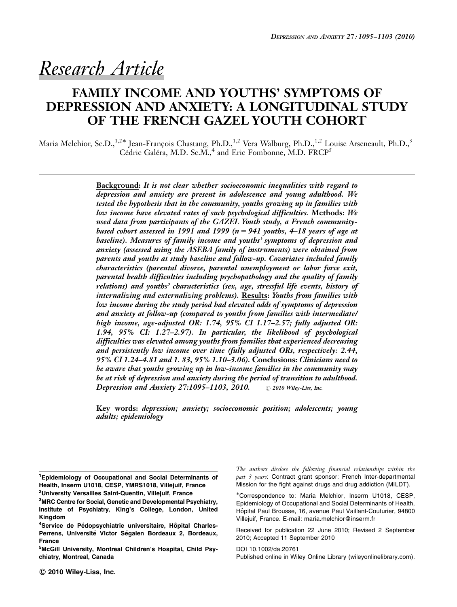# Research Article

# FAMILY INCOME AND YOUTHS' SYMPTOMS OF DEPRESSION AND ANXIETY: A LONGITUDINAL STUDY OF THE FRENCH GAZEL YOUTH COHORT

Maria Melchior, Sc.D.,<sup>1,2\*</sup> Jean-François Chastang, Ph.D.,<sup>1,2</sup> Vera Walburg, Ph.D.,<sup>1,2</sup> Louise Arseneault, Ph.D.,<sup>3</sup> Cédric Galéra, M.D. Sc.M.,<sup>4</sup> and Eric Fombonne, M.D. FRCP<sup>5</sup>

> Background: It is not clear whether socioeconomic inequalities with regard to depression and anxiety are present in adolescence and young adulthood. We tested the hypothesis that in the community, youths growing up in families with low income have elevated rates of such psychological difficulties. Methods: We used data from participants of the GAZEL Youth study, a French communitybased cohort assessed in 1991 and 1999 ( $n = 941$  youths, 4–18 years of age at baseline). Measures of family income and youths' symptoms of depression and anxiety (assessed using the ASEBA family of instruments) were obtained from parents and youths at study baseline and follow-up. Covariates included family characteristics (parental divorce, parental unemployment or labor force exit, parental health difficulties including psychopathology and the quality of family relations) and youths' characteristics (sex, age, stressful life events, history of internalizing and externalizing problems). Results: Youths from families with low income during the study period had elevated odds of symptoms of depression and anxiety at follow-up (compared to youths from families with intermediate/ high income, age-adjusted OR: 1.74, 95% CI 1.17–2.57; fully adjusted OR: 1.94, 95% CI: 1.27–2.97). In particular, the likelihood of psychological difficulties was elevated among youths from families that experienced decreasing and persistently low income over time (fully adjusted ORs, respectively: 2.44, 95% CI 1.24–4.81 and 1. 83, 95% 1.10–3.06). Conclusions: Clinicians need to be aware that youths growing up in low-income families in the community may be at risk of depression and anxiety during the period of transition to adulthood. Depression and Anxiety 27:1095-1103, 2010.  $\circ$  2010 Wiley-Liss, Inc.

> Key words: depression; anxiety; socioeconomic position; adolescents; young adults; epidemiology

The authors disclose the following financial relationships within the past 3 years: Contract grant sponsor: French Inter-departmental Mission for the fight against drugs and drug addiction (MILDT).

-Correspondence to: Maria Melchior, Inserm U1018, CESP, Epidemiology of Occupational and Social Determinants of Health, Hôpital Paul Brousse, 16, avenue Paul Vaillant-Couturier, 94800 Villejuif, France. E-mail: maria.melchior@inserm.fr

Received for publication 22 June 2010; Revised 2 September 2010; Accepted 11 September 2010

Published online in Wiley Online Library (wileyonlinelibrary.com). DOI 10.1002/da.20761

<sup>&</sup>lt;sup>1</sup> Epidemiology of Occupational and Social Determinants of Health, Inserm U1018, CESP, YMRS1018, Villejuif, France <sup>2</sup>University Versailles Saint-Quentin, Villejuif, France

<sup>&</sup>lt;sup>3</sup>MRC Centre for Social, Genetic and Developmental Psychiatry, Institute of Psychiatry, King's College, London, United Kingdom

<sup>&</sup>lt;sup>4</sup>Service de Pédopsychiatrie universitaire, Hôpital Charles-Perrens, Université Victor Ségalen Bordeaux 2, Bordeaux, France

<sup>5</sup> McGill University, Montreal Children's Hospital, Child Psychiatry, Montreal, Canada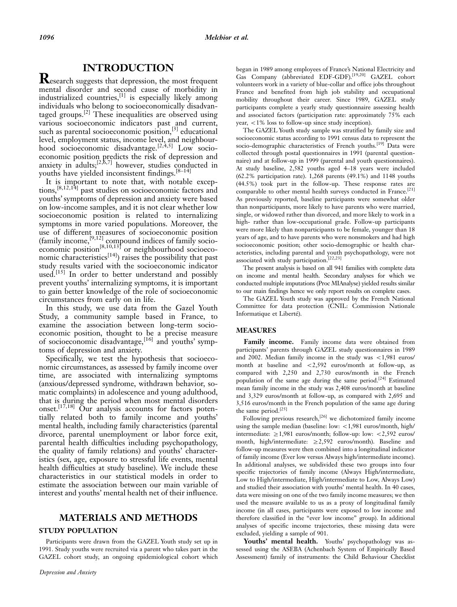# INTRODUCTION

**R**esearch suggests that depression, the most frequent mental disorder and second cause of morbidity in industrialized countries,  $^{[1]}$  is especially likely among individuals who belong to socioeconomically disadvantaged groups.[2] These inequalities are observed using various socioeconomic indicators past and current, such as parental socioeconomic position,<sup>[3]</sup> educational level, employment status, income level, and neighbourhood socioeconomic disadvantage.<sup>[2,4,5]</sup> Low socioeconomic position predicts the risk of depression and anxiety in adults; $^{[2,6,7]}$  however, studies conducted in youths have yielded inconsistent findings.[8–14]

It is important to note that, with notable exceptions,[8,12,14] past studies on socioeconomic factors and youths' symptoms of depression and anxiety were based on low-income samples, and it is not clear whether low socioeconomic position is related to internalizing symptoms in more varied populations. Moreover, the use of different measures of socioeconomic position (family income,  $[9,12]$  compound indices of family socioeconomic position<sup>[8,10,13]</sup> or neighbourhood socioeconomic characteristics<sup>[14]</sup>) raises the possibility that past study results varied with the socioeconomic indicator used.<sup>[15]</sup> In order to better understand and possibly prevent youths' internalizing symptoms, it is important to gain better knowledge of the role of socioeconomic circumstances from early on in life.

In this study, we use data from the Gazel Youth Study, a community sample based in France, to examine the association between long-term socioeconomic position, thought to be a precise measure of socioeconomic disadvantage,  $[16]$  and youths' symptoms of depression and anxiety.

Specifically, we test the hypothesis that socioeconomic circumstances, as assessed by family income over time, are associated with internalizing symptoms (anxious/depressed syndrome, withdrawn behavior, somatic complaints) in adolescence and young adulthood, that is during the period when most mental disorders onset.<sup>[17,18]</sup> Our analysis accounts for factors potentially related both to family income and youths' mental health, including family characteristics (parental divorce, parental unemployment or labor force exit, parental health difficulties including psychopathology, the quality of family relations) and youths' characteristics (sex, age, exposure to stressful life events, mental health difficulties at study baseline). We include these characteristics in our statistical models in order to estimate the association between our main variable of interest and youths' mental health net of their influence.

# MATERIALS AND METHODS

#### STUDY POPULATION

Participants were drawn from the GAZEL Youth study set up in 1991. Study youths were recruited via a parent who takes part in the GAZEL cohort study, an ongoing epidemiological cohort which

began in 1989 among employees of France's National Electricity and Gas Company (abbreviated EDF-GDF).[19,20] GAZEL cohort volunteers work in a variety of blue-collar and office jobs throughout France and benefited from high job stability and occupational mobility throughout their career. Since 1989, GAZEL study participants complete a yearly study questionnaire assessing health and associated factors (participation rate: approximately 75% each year,  $\langle 1\% \rangle$  loss to follow-up since study inception).

The GAZEL Youth study sample was stratified by family size and socioeconomic status according to 1991 census data to represent the socio-demographic characteristics of French youths.<sup>[19]</sup> Data were collected through postal questionnaires in 1991 (parental questionnaire) and at follow-up in 1999 (parental and youth questionnaires). At study baseline, 2,582 youths aged 4–18 years were included (62.2% participation rate). 1,268 parents (49.1%) and 1148 youths (44.5%) took part in the follow-up. These response rates are comparable to other mental health surveys conducted in France.<sup>[21]</sup> As previously reported, baseline participants were somewhat older than nonparticipants, more likely to have parents who were married, single, or widowed rather than divorced, and more likely to work in a high- rather than low-occupational grade. Follow-up participants were more likely than nonparticipants to be female, younger than 18 years of age, and to have parents who were nonsmokers and had high socioeconomic position; other socio-demographic or health characteristics, including parental and youth psychopathology, were not associated with study participation.<sup>[22,23]</sup>

The present analysis is based on all 941 families with complete data on income and mental health. Secondary analyses for which we conducted multiple imputations (Proc MIAnalyse) yielded results similar to our main findings hence we only report results on complete cases.

The GAZEL Youth study was approved by the French National Committee for data protection (CNIL: Commission Nationale Informatique et Liberté).

#### MEASURES

Family income. Family income data were obtained from participants' parents through GAZEL study questionnaires in 1989 and 2002. Median family income in the study was  $\langle 1,981 \rangle$  euros/ month at baseline and  $\langle 2,592 \rangle$  euros/month at follow-up, as compared with 2,250 and 2,730 euros/month in the French population of the same age during the same period.<sup>[24]</sup> Estimated mean family income in the study was 2,408 euros/month at baseline and 3,329 euros/month at follow-up, as compared with 2,695 and 3,516 euros/month in the French population of the same age during the same period.[25]

Following previous research,<sup>[26]</sup> we dichotomized family income using the sample median (baseline: low:  $<$  1,981 euros/month, high/ intermediate:  $\geq$ 1,981 euros/month; follow-up: low: <2,592 euros/ month, high/intermediate:  $\geq 2,592$  euros/month). Baseline and follow-up measures were then combined into a longitudinal indicator of family income (Ever low versus Always high/intermediate income). In additional analyses, we subdivided these two groups into four specific trajectories of family income (Always High/intermediate, Low to High/intermediate, High/intermediate to Low, Always Low) and studied their association with youths' mental health. In 40 cases, data were missing on one of the two family income measures; we then used the measure available to us as a proxy of longitudinal family income (in all cases, participants were exposed to low income and therefore classified in the "ever low income" group). In additional analyses of specific income trajectories, these missing data were excluded, yielding a sample of 901.

Youths' mental health. Youths' psychopathology was assessed using the ASEBA (Achenbach System of Empirically Based Assessment) family of instruments: the Child Behaviour Checklist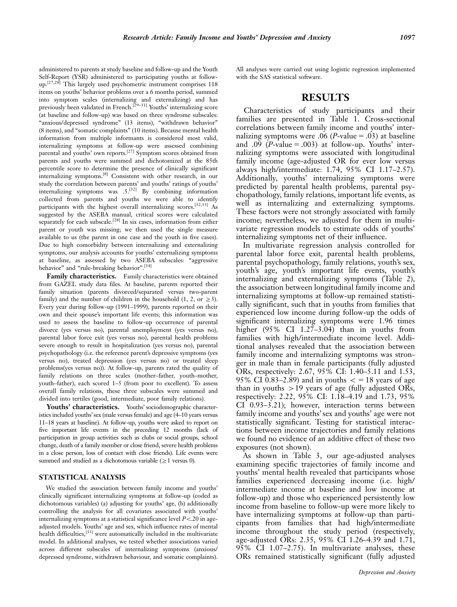administered to parents at study baseline and follow-up and the Youth Self-Report (YSR) administered to participating youths at followup.[27,28] This largely used psychometric instrument comprises 118 items on youths' behavior problems over a 6 months period, summed into symptom scales (internalizing and externalizing) and has previously been validated in French.[29–31] Youths' internalizing score (at baseline and follow-up) was based on three syndrome subscales: "anxious/depressed syndrome" (13 items), "withdrawn behavior" (8 items), and ''somatic complaints'' (10 items). Because mental health information from multiple informants is considered most valid, internalizing symptoms at follow-up were assessed combining parental and youths' own reports.[27] Symptom scores obtained from parents and youths were summed and dichotomized at the 85th percentile score to determine the presence of clinically significant internalizing symptoms.[8] Consistent with other research, in our study the correlation between parents' and youths' ratings of youths' internalizing symptoms was .5.[32] By combining information collected from parents and youths we were able to identify participants with the highest overall internalizing scores.[32,33] As suggested by the ASEBA manual, critical scores were calculated separately for each subscale.<sup>[28]</sup> In six cases, information from either parent or youth was missing; we then used the single measure available to us (the parent in one case and the youth in five cases). Due to high comorbidity between internalizing and externalizing symptoms, our analysis accounts for youths' externalizing symptoms at baseline, as assessed by two ASEBA subscales: ''aggressive behavior" and "rule-breaking behavior".<sup>[34]</sup>

Family characteristics. Family characteristics were obtained from GAZEL study data files. At baseline, parents reported their family situation (parents divorced/separated versus two-parent family) and the number of children in the household (1, 2, or  $\geq$ 3). Every year during follow-up (1991–1999), parents reported on their own and their spouse's important life events; this information was used to assess the baseline to follow-up occurrence of parental divorce (yes versus no), parental unemployment (yes versus no), parental labor force exit (yes versus no), parental health problems severe enough to result in hospitalization (yes versus no), parental psychopathology (i.e. the reference parent's depressive symptoms (yes versus no), treated depression (yes versus no) or treated sleep problems(yes versus no)). At follow-up, parents rated the quality of family relations on three scales (mother–father, youth–mother, youth–father), each scored 1–5 (from poor to excellent). To assess overall family relations, these three subscales were summed and divided into tertiles (good, intermediate, poor family relations).

Youths' characteristics. Youths' sociodemographic characteristics included youths' sex (male versus female) and age (4–10 years versus 11–18 years at baseline). At follow-up, youths were asked to report on five important life events in the preceding 12 months (lack of participation in group activities such as clubs or social groups, school change, death of a family member or close friend, severe health problems in a close person, loss of contact with close friends). Life events were summed and studied as a dichotomous variable ( $\geq$ 1 versus 0).

#### STATISTICAL ANALYSIS

We studied the association between family income and youths' clinically significant internalizing symptoms at follow-up (coded as dichotomous variables) (a) adjusting for youths' age, (b) additionally controlling the analysis for all covariates associated with youths' internalizing symptoms at a statistical significance level  $P<.20$  in ageadjusted models. Youths' age and sex, which influence rates of mental health difficulties,<sup>[35]</sup> were automatically included in the multivariate model. In additional analyses, we tested whether associations varied across different subscales of internalizing symptoms (anxious/ depressed syndrome, withdrawn behaviour, and somatic complaints).

All analyses were carried out using logistic regression implemented with the SAS statistical software.

# RESULTS

Characteristics of study participants and their families are presented in Table 1. Cross-sectional correlations between family income and youths' internalizing symptoms were .06 (*P*-value = .03) at baseline and .09 ( $P$ -value = .003) at follow-up. Youths' internalizing symptoms were associated with longitudinal family income (age-adjusted OR for ever low versus always high/intermediate: 1.74, 95% CI 1.17–2.57). Additionally, youths' internalizing symptoms were predicted by parental health problems, parental psychopathology, family relations, important life events, as well as internalizing and externalizing symptoms. These factors were not strongly associated with family income; nevertheless, we adjusted for them in multivariate regression models to estimate odds of youths' internalizing symptoms net of their influence.

In multivariate regression analysis controlled for parental labor force exit, parental health problems, parental psychopathology, family relations, youth's sex, youth's age, youth's important life events, youth's internalizing and externalizing symptoms (Table 2), the association between longitudinal family income and internalizing symptoms at follow-up remained statistically significant, such that in youths from families that experienced low income during follow-up the odds of significant internalizing symptoms were 1.96 times higher (95% CI 1.27–3.04) than in youths from families with high/intermediate income level. Additional analyses revealed that the association between family income and internalizing symptoms was stronger in male than in female participants (fully adjusted ORs, respectively: 2.67, 95% CI: 1.40–5.11 and 1.53, 95% CI 0.83–2.89) and in youths  $\epsilon$  = 18 years of age than in youths  $>19$  years of age (fully adjusted ORs, respectively: 2.22, 95% CI: 1.18–4.19 and 1.73, 95% CI 0.93–3.21); however, interaction terms between family income and youths' sex and youths' age were not statistically significant. Testing for statistical interactions between income trajectories and family relations we found no evidence of an additive effect of these two exposures (not shown).

As shown in Table 3, our age-adjusted analyses examining specific trajectories of family income and youths' mental health revealed that participants whose families experienced decreasing income (i.e. high/ intermediate income at baseline and low income at follow-up) and those who experienced persistently low income from baseline to follow-up were more likely to have internalizing symptoms at follow-up than participants from families that had high/intermediate income throughout the study period (respectively, age-adjusted ORs: 2.35, 95% CI 1.26–4.39 and 1.71, 95% CI 1.07–2.75). In multivariate analyses, these ORs remained statistically significant (fully adjusted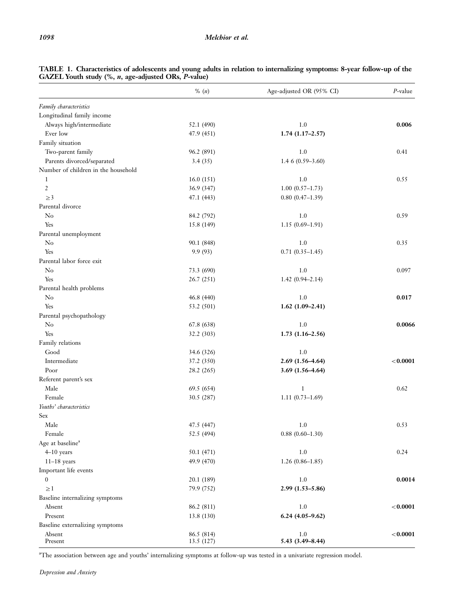|                                     | $\%$ (n)   | Age-adjusted OR (95% CI) | $P$ -value |
|-------------------------------------|------------|--------------------------|------------|
| Family characteristics              |            |                          |            |
| Longitudinal family income          |            |                          |            |
| Always high/intermediate            | 52.1 (490) | 1.0                      | 0.006      |
| Ever low                            | 47.9 (451) | $1.74(1.17-2.57)$        |            |
| Family situation                    |            |                          |            |
| Two-parent family                   | 96.2 (891) | 1.0                      | 0.41       |
| Parents divorced/separated          | 3.4(35)    | 1.4 $6(0.59-3.60)$       |            |
| Number of children in the household |            |                          |            |
| 1                                   | 16.0(151)  | 1.0                      | 0.55       |
| $\mathfrak{2}$                      | 36.9 (347) | $1.00(0.57-1.73)$        |            |
| $\geq$ 3                            | 47.1 (443) | $0.80(0.47-1.39)$        |            |
| Parental divorce                    |            |                          |            |
| $\rm No$                            | 84.2 (792) | 1.0                      | 0.59       |
| Yes                                 | 15.8 (149) | $1.15(0.69 - 1.91)$      |            |
| Parental unemployment               |            |                          |            |
| $\rm No$                            | 90.1 (848) | 1.0                      | 0.35       |
| Yes                                 | 9.9(93)    | $0.71(0.35-1.45)$        |            |
| Parental labor force exit           |            |                          |            |
| $\rm No$                            | 73.3 (690) | 1.0                      | 0.097      |
| Yes                                 | 26.7 (251) | $1.42(0.94 - 2.14)$      |            |
| Parental health problems            |            |                          |            |
| $\rm No$                            | 46.8 (440) | 1.0                      | 0.017      |
| Yes                                 | 53.2 (501) | $1.62(1.09-2.41)$        |            |
| Parental psychopathology            |            |                          |            |
| $\rm No$                            | 67.8 (638) | 1.0                      | 0.0066     |
| Yes                                 | 32.2 (303) | $1.73(1.16-2.56)$        |            |
| Family relations                    |            |                          |            |
| Good                                | 34.6 (326) | 1.0                      |            |
| Intermediate                        | 37.2 (350) | $2.69(1.56-4.64)$        | < 0.0001   |
| Poor                                | 28.2 (265) | $3.69(1.56 - 4.64)$      |            |
| Referent parent's sex               |            |                          |            |
| Male                                | 69.5 (654) | $\mathbf{1}$             | 0.62       |
| Female                              | 30.5 (287) | $1.11(0.73-1.69)$        |            |
| Youths' characteristics             |            |                          |            |
| Sex                                 |            |                          |            |
| Male                                | 47.5 (447) | 1.0                      | 0.53       |
| Female                              | 52.5 (494) | $0.88(0.60 - 1.30)$      |            |
| Age at baseline <sup>a</sup>        |            |                          |            |
| $4-10$ years                        | 50.1 (471) | 1.0                      | 0.24       |
| $11-18$ years                       | 49.9 (470) | $1.26(0.86 - 1.85)$      |            |
| Important life events               |            |                          |            |
| $\boldsymbol{0}$                    | 20.1 (189) | 1.0                      | 0.0014     |
| $\geq$ 1                            | 79.9 (752) | $2.99(1.53 - 5.86)$      |            |
| Baseline internalizing symptoms     |            |                          |            |
| Absent                              | 86.2 (811) | 1.0                      | < 0.0001   |
| Present                             | 13.8 (130) | $6.24(4.05-9.62)$        |            |
| Baseline externalizing symptoms     |            |                          |            |
| Absent                              | 86.5 (814) | 1.0                      | < 0.0001   |
| Present                             | 13.5 (127) | 5.43 (3.49-8.44)         |            |

| TABLE 1. Characteristics of adolescents and young adults in relation to internalizing symptoms: 8-year follow-up of the |  |  |  |
|-------------------------------------------------------------------------------------------------------------------------|--|--|--|
| GAZEL Youth study (%, n, age-adjusted ORs, P-value)                                                                     |  |  |  |

a The association between age and youths' internalizing symptoms at follow-up was tested in a univariate regression model.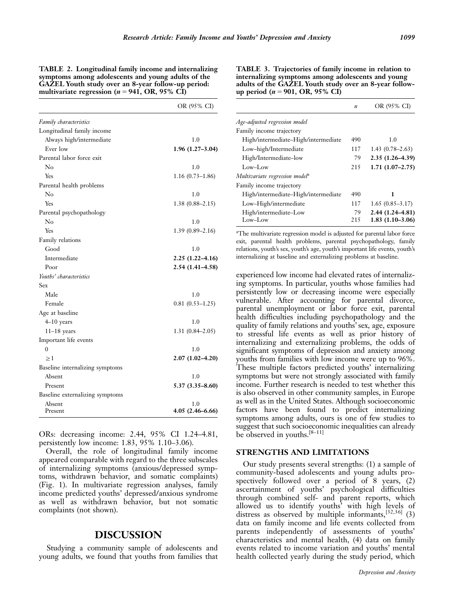| TABLE 2. Longitudinal family income and internalizing |
|-------------------------------------------------------|
| symptoms among adolescents and young adults of the    |
| GAZEL Youth study over an 8-year follow-up period:    |
| multivariate regression ( $n = 941$ , OR, 95% CI)     |

|                                 | OR (95% CI)         |
|---------------------------------|---------------------|
| Family characteristics          |                     |
| Longitudinal family income      |                     |
| Always high/intermediate        | 1.0                 |
| Ever low                        | $1.96(1.27-3.04)$   |
| Parental labor force exit       |                     |
| $\rm No$                        | 1.0                 |
| Yes                             | $1.16(0.73 - 1.86)$ |
| Parental health problems        |                     |
| Nο                              | 1.0                 |
| Yes                             | $1.38(0.88 - 2.15)$ |
| Parental psychopathology        |                     |
| $\rm No$                        | 1.0                 |
| Yes                             | $1.39(0.89 - 2.16)$ |
| Family relations                |                     |
| Good                            | 1.0                 |
| Intermediate                    | $2.25(1.22 - 4.16)$ |
| Poor                            | 2.54 (1.41-4.58)    |
| Youths' characteristics         |                     |
| Sex                             |                     |
| Male                            | 1.0                 |
| Female                          | $0.81(0.53 - 1.25)$ |
| Age at baseline                 |                     |
| $4-10$ years                    | 1.0                 |
| $11-18$ years                   | $1.31(0.84 - 2.05)$ |
| Important life events           |                     |
| $\theta$                        | 1.0                 |
| $\geq$ 1                        | $2.07(1.02 - 4.20)$ |
| Baseline internalizing symptoms |                     |
| Absent                          | 1.0                 |
| Present                         | $5.37(3.35 - 8.60)$ |
| Baseline externalizing symptoms |                     |
| Absent                          | 1.0                 |
| Present                         | $4.05(2.46 - 6.66)$ |

ORs: decreasing income: 2.44, 95% CI 1.24–4.81, persistently low income: 1.83, 95% 1.10–3.06).

Overall, the role of longitudinal family income appeared comparable with regard to the three subscales of internalizing symptoms (anxious/depressed symptoms, withdrawn behavior, and somatic complaints) (Fig. 1). In multivariate regression analyses, family income predicted youths' depressed/anxious syndrome as well as withdrawn behavior, but not somatic complaints (not shown).

#### DISCUSSION

Studying a community sample of adolescents and young adults, we found that youths from families that TABLE 3. Trajectories of family income in relation to internalizing symptoms among adolescents and young adults of the GAZEL Youth study over an 8-year followup period ( $n = 901$ , OR, 95% CI)

|                                            | $\boldsymbol{n}$ | OR (95% CI)         |
|--------------------------------------------|------------------|---------------------|
| Age-adjusted regression model              |                  |                     |
| Family income trajectory                   |                  |                     |
| High/intermediate-High/intermediate        | 490              | 1.0                 |
| Low-high/Intermediate                      | 117              | $1.43(0.78-2.63)$   |
| High/Intermediate-low                      | 79               | $2.35(1.26 - 4.39)$ |
| Low-Low                                    | 215              | $1.71(1.07-2.75)$   |
| Multivariate regression model <sup>a</sup> |                  |                     |
| Family income trajectory                   |                  |                     |
| High/intermediate-High/intermediate        | 490              | 1                   |
| Low-High/intermediate                      | 117              | $1.65(0.85-3.17)$   |
| High/intermediate-Low                      | 79               | $2.44(1.24 - 4.81)$ |
| $Low$ -Low                                 | 215              | $1.83(1.10-3.06)$   |

<sup>a</sup>The multivariate regression model is adjusted for parental labor force exit, parental health problems, parental psychopathology, family relations, youth's sex, youth's age, youth's important life events, youth's internalizing at baseline and externalizing problems at baseline.

experienced low income had elevated rates of internalizing symptoms. In particular, youths whose families had persistently low or decreasing income were especially vulnerable. After accounting for parental divorce, parental unemployment or labor force exit, parental health difficulties including psychopathology and the quality of family relations and youths' sex, age, exposure to stressful life events as well as prior history of internalizing and externalizing problems, the odds of significant symptoms of depression and anxiety among youths from families with low income were up to 96%. These multiple factors predicted youths' internalizing symptoms but were not strongly associated with family income. Further research is needed to test whether this is also observed in other community samples, in Europe as well as in the United States. Although socioeconomic factors have been found to predict internalizing symptoms among adults, ours is one of few studies to suggest that such socioeconomic inequalities can already be observed in youths.[8–11]

#### STRENGTHS AND LIMITATIONS

Our study presents several strengths: (1) a sample of community-based adolescents and young adults prospectively followed over a period of 8 years, (2) ascertainment of youths' psychological difficulties through combined self- and parent reports, which allowed us to identify youths' with high levels of distress as observed by multiple informants,  $[32,36]$  (3) data on family income and life events collected from parents independently of assessments of youths' characteristics and mental health, (4) data on family events related to income variation and youths' mental health collected yearly during the study period, which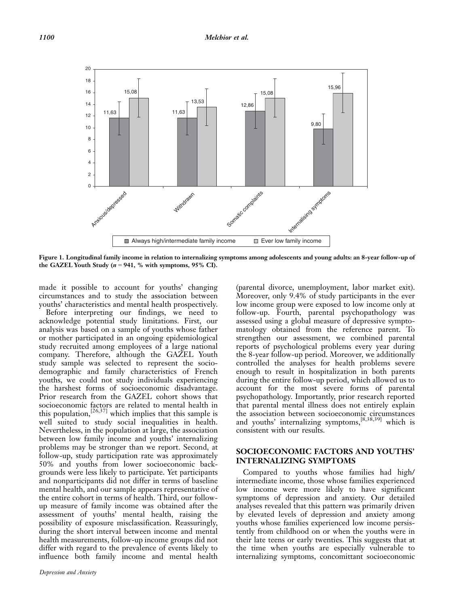

Figure 1. Longitudinal family income in relation to internalizing symptoms among adolescents and young adults: an 8-year follow-up of the GAZEL Youth Study ( $n = 941$ , % with symptoms, 95% CI).

made it possible to account for youths' changing circumstances and to study the association between youths' characteristics and mental health prospectively.

Before interpreting our findings, we need to acknowledge potential study limitations. First, our analysis was based on a sample of youths whose father or mother participated in an ongoing epidemiological study recruited among employees of a large national company. Therefore, although the GAZEL Youth study sample was selected to represent the sociodemographic and family characteristics of French youths, we could not study individuals experiencing the harshest forms of socioeconomic disadvantage. Prior research from the GAZEL cohort shows that socioeconomic factors are related to mental health in this population,  $[26,37]$  which implies that this sample is well suited to study social inequalities in health. Nevertheless, in the population at large, the association between low family income and youths' internalizing problems may be stronger than we report. Second, at follow-up, study participation rate was approximately 50% and youths from lower socioeconomic backgrounds were less likely to participate. Yet participants and nonparticipants did not differ in terms of baseline mental health, and our sample appears representative of the entire cohort in terms of health. Third, our followup measure of family income was obtained after the assessment of youths' mental health, raising the possibility of exposure misclassification. Reassuringly, during the short interval between income and mental health measurements, follow-up income groups did not differ with regard to the prevalence of events likely to influence both family income and mental health (parental divorce, unemployment, labor market exit). Moreover, only 9.4% of study participants in the ever low income group were exposed to low income only at follow-up. Fourth, parental psychopathology was assessed using a global measure of depressive symptomatology obtained from the reference parent. To strengthen our assessment, we combined parental reports of psychological problems every year during the 8-year follow-up period. Moreover, we additionally controlled the analyses for health problems severe enough to result in hospitalization in both parents during the entire follow-up period, which allowed us to account for the most severe forms of parental psychopathology. Importantly, prior research reported that parental mental illness does not entirely explain the association between socioeconomic circumstances and youths' internalizing symptoms,[8,38,39] which is consistent with our results.

### SOCIOECONOMIC FACTORS AND YOUTHS' INTERNALIZING SYMPTOMS

Compared to youths whose families had high/ intermediate income, those whose families experienced low income were more likely to have significant symptoms of depression and anxiety. Our detailed analyses revealed that this pattern was primarily driven by elevated levels of depression and anxiety among youths whose families experienced low income persistently from childhood on or when the youths were in their late teens or early twenties. This suggests that at the time when youths are especially vulnerable to internalizing symptoms, concomittant socioeconomic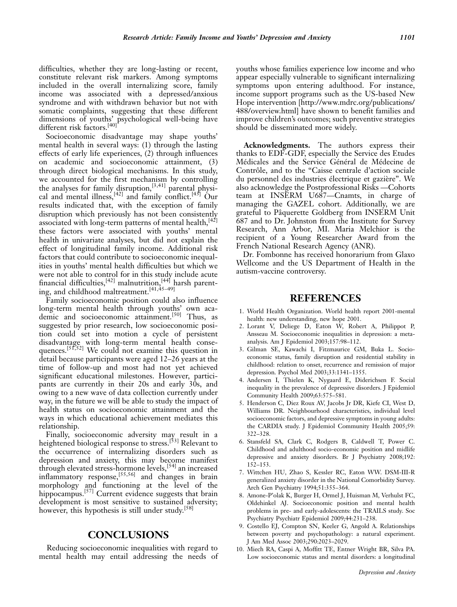difficulties, whether they are long-lasting or recent, constitute relevant risk markers. Among symptoms included in the overall internalizing score, family income was associated with a depressed/anxious syndrome and with withdrawn behavior but not with somatic complaints, suggesting that these different dimensions of youths' psychological well-being have different risk factors.[40]

Socioeconomic disadvantage may shape youths' mental health in several ways: (1) through the lasting effects of early life experiences, (2) through influences on academic and socioeconomic attainment, (3) through direct biological mechanisms. In this study, we accounted for the first mechanism by controlling the analyses for family disruption,<sup>[3,41]</sup> parental physical and mental illness,  $[42]$  and family conflict.  $[43]$  Our results indicated that, with the exception of family disruption which previously has not been consistently associated with long-term patterns of mental health.<sup>[42]</sup> these factors were associated with youths' mental health in univariate analyses, but did not explain the effect of longitudinal family income. Additional risk factors that could contribute to socioeconomic inequalities in youths' mental health difficulties but which we were not able to control for in this study include acute financial difficulties, <sup>[42]</sup> malnutrition, <sup>[44]</sup> harsh parenting, and childhood maltreatment.<sup>[41,45-49]</sup>

Family socioeconomic position could also influence long-term mental health through youths' own academic and socioeconomic attainment.<sup>[50]</sup> Thus, as suggested by prior research, low socioeconomic position could set into motion a cycle of persistent disadvantage with long-term mental health consequences.<sup>[51,52]</sup> We could not examine this question in detail because participants were aged 12–26 years at the time of follow-up and most had not yet achieved significant educational milestones. However, participants are currently in their 20s and early 30s, and owing to a new wave of data collection currently under way, in the future we will be able to study the impact of health status on socioeconomic attainment and the ways in which educational achievement mediates this relationship.

Finally, socioeconomic adversity may result in a heightened biological response to stress.<sup>[53]</sup> Relevant to the occurrence of internalizing disorders such as depression and anxiety, this may become manifest through elevated stress-hormone levels,<sup>[54]</sup> an increased inflammatory response,<sup>[55,56]</sup> and changes in brain morphology and functioning at the level of the hippocampus.<sup>[57]</sup> Current evidence suggests that brain development is most sensitive to sustained adversity; however, this hypothesis is still under study.<sup>[58]</sup>

### **CONCLUSIONS**

Reducing socioeconomic inequalities with regard to mental health may entail addressing the needs of youths whose families experience low income and who appear especially vulnerable to significant internalizing symptoms upon entering adulthood. For instance, income support programs such as the US-based New Hope intervention [http://www.mdrc.org/publications/ 488/overview.html] have shown to benefit families and improve children's outcomes; such preventive strategies should be disseminated more widely.

Acknowledgments. The authors express their thanks to EDF-GDF, especially the Service des Etudes Médicales and the Service Général de Médecine de Contrôle, and to the "Caisse centrale d'action sociale du personnel des industries électrique et gazière". We also acknowledge the Postprofessional Risks —Cohorts team at INSERM U687—Cnamts, in charge of managing the GAZEL cohort. Additionally, we are grateful to Pâquerette Goldberg from INSERM Unit 687 and to Dr. Johnston from the Institute for Survey Research, Ann Arbor, MI. Maria Melchior is the recipient of a Young Researcher Award from the French National Research Agency (ANR).

Dr. Fombonne has received honorarium from Glaxo Wellcome and the US Department of Health in the autism-vaccine controversy.

# REFERENCES

- 1. World Health Organization. World health report 2001-mental health: new understanding, new hope 2001.
- 2. Lorant V, Deliege D, Eaton W, Robert A, Philippot P, Ansseau M. Socioeconomic inequalities in depression: a metaanalysis. Am J Epidemiol 2003;157:98–112.
- 3. Gilman SE, Kawachi I, Fitzmaurice GM, Buka L. Socioeconomic status, family disruption and residential stability in childhood: relation to onset, recurrence and remission of major depression. Psychol Med 2003;33:1341–1355.
- 4. Andersen I, Thielen K, Nygaard E, Diderichsen F. Social inequality in the prevalence of depressive disorders. J Epidemiol Community Health 2009;63:575–581.
- 5. Henderson C, Diez Roux AV, Jacobs Jr DR, Kiefe CI, West D, Williams DR. Neighbourhood characteristics, individual level socioeconomic factors, and depressive symptoms in young adults: the CARDIA study. J Epidemiol Community Health 2005;59: 322–328.
- 6. Stansfeld SA, Clark C, Rodgers B, Caldwell T, Power C. Childhood and adulthood socio-economic position and midlife depressive and anxiety disorders. Br J Psychiatry 2008;192: 152–153.
- 7. Wittchen HU, Zhao S, Kessler RC, Eaton WW. DSM-III-R generalized anxiety disorder in the National Comorbidity Survey. Arch Gen Psychiatry 1994;51:355–364.
- 8. Amone-P'olak K, Burger H, Ormel J, Huisman M, Verhulst FC, Oldehinkel AJ. Socioeconomic position and mental health problems in pre- and early-adolescents: the TRAILS study. Soc Psychiatry Psychiatr Epidemiol 2009;44:231–238.
- 9. Costello EJ, Compton SN, Keeler G, Angold A. Relationships between poverty and psychopathology: a natural experiment. J Am Med Assoc 2003;290:2023–2029.
- 10. Miech RA, Caspi A, Moffitt TE, Entner Wright BR, Silva PA. Low socioeconomic status and mental disorders: a longitudinal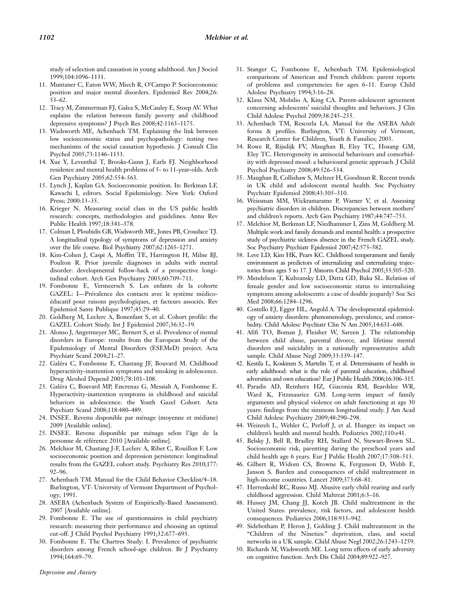study of selection and causation in young adulthood. Am J Sociol 1999;104:1096–1131.

- 11. Muntaner C, Eaton WW, Miech R, O'Campo P. Socioeconomic position and major mental disorders. Epidemiol Rev 2004;26: 53–62.
- 12. Tracy M, Zimmerman FJ, Galea S, McCauley E, Stoep AV. What explains the relation between family poverty and childhood depressive symptoms? J Psych Res 2008;42:1163–1175.
- 13. Wadsworth ME, Achenbach TM. Explaining the link between low socioeconomic status and psychopathology: testing two mechanisms of the social causation hypothesis. J Consult Clin Psychol 2005;73:1146–1153.
- 14. Xue Y, Leventhal T, Brooks-Gunn J, Earls FJ. Neighborhood residence and mental health problems of 5- to 11-year-olds. Arch Gen Psychiatry 2005;62:554–563.
- 15. Lynch J, Kaplan GA. Socioeconomic position. In: Berkman LF, Kawachi I, editors. Social Epidemiology. New York: Oxford Press; 2000:13–35.
- 16. Krieger N. Measuring social class in the US public health research: concepts, methodologies and guidelines. Annu Rev Public Health 1997;18:341–378.
- 17. Colman I, Ploubidis GB, Wadsworth ME, Jones PB, Croudace TJ. A longitudinal typology of symptoms of depression and anxiety over the life course. Biol Psychiatry 2007;62:1265–1271.
- 18. Kim-Cohen J, Caspi A, Moffitt TE, Harrington H, Milne BJ, Poulton R. Prior juvenile diagnoses in adults with mental disorder: developmental follow-back of a prospective longitudinal cohort. Arch Gen Psychiatry 2003;60:709–711.
- 19. Fombonne E, Vermeersch S. Les enfants de la cohorte GAZEL: I-Prévalence des contacts avec le système médicoéducatif pour raisons psychologiques, et facteurs associés. Rev Epidemiol Sante Publique 1997;45:29–40.
- 20. Goldberg M, Leclerc A, Bonenfant S, et al. Cohort profile: the GAZEL Cohort Study. Int J Epidemiol 2007;36:32–39.
- 21. Alonso J, Angermeyer MC, Bernert S, et al. Prevalence of mental disorders in Europe: results from the European Study of the Epidemiology of Mental Disorders (ESEMeD) project. Acta Psychiatr Scand 2004;21–27.
- 22. Galéra C, Fombonne E, Chastang JF, Bouvard M. Childhood hyperactivity-inattention symptoms and smoking in adolescence. Drug Alcohol Depend 2005;78:101–108.
- 23. Galéra C, Bouvard MP, Encrenaz G, Messiah A, Fombonne E. Hyperactivity-inattention symptoms in childhood and suicidal behaviors in adolescence: the Youth Gazel Cohort. Acta Psychiatr Scand 2008;118:480–489.
- 24. INSEE. Revenu disponible par ménage (moyenne et médiane) 2009 [Available online].
- 25. INSEE. Revenu disponible par ménage selon l'âge de la personne de référence 2010 [Available online].
- 26. Melchior M, Chastang J-F, Leclerc A, Ribet C, Rouillon F. Low socioeconomic position and depression persistence: longitudinal results from the GAZEL cohort study. Psychiatry Res 2010;177: 92–96.
- 27. Achenbach TM. Manual for the Child Behavior Checklist/4–18. Burlington, VT: University of Vermont Department of Psychology; 1991.
- 28. ASEBA (Achenbach System of Empirically-Based Assessment). 2007 [Available online].
- 29. Fombonne E. The use of questionnaires in child psychiatry research: measuring their performance and choosing an optimal cut-off. J Child Psychol Psychiatry 1991;32:677–693.
- 30. Fombonne E. The Chartres Study: I. Prevalence of psychiatric disorders among French school-age children. Br J Psychiatry 1994;164:69–79.
- 31. Stanger C, Fombonne E, Achenbach TM. Epidemiological comparisons of American and French children: parent reports of problems and competencies for ages 6–11. Europ Child Adolesc Psychiatry 1994;3:16–28.
- 32. Klaus NM, Mobilio A, King CA. Parent-adolescent agreement concerning adolescents' suicidal thoughts and behaviors. J Clin Child Adolesc Psychol 2009;38:245–255.
- 33. Achenbach TM, Rescorla LA. Manual for the ASEBA Adult forms & profiles. Burlington, VT: University of Vermont, Research Center for Children, Youth & Families; 2003.
- 34. Rowe R, Rijsdijk FV, Maughan B, Eley TC, Hosang GM, Eley TC. Heterogeneity in antisocial behaviours and comorbidity with depressed mood: a behavioural genetic approach. J Child Psychol Psychiatry 2008;49:526–534.
- 35. Maughan B, Collishaw S, Meltzer H, Goodman R. Recent trends in UK child and adolescent mental health. Soc Psychiatry Psychiatr Epidemiol 2008;43:305–310.
- 36. Weissman MM, Wickramaratne P, Warner V, et al. Assessing psychiatric disorders in children. Discrepancies between mothers' and children's reports. Arch Gen Psychiatry 1987;44:747–753.
- 37. Melchior M, Berkman LF, Niedhammer I, Zins M, Goldberg M. Multiple work and family demands and mental health: a prospective study of psychiatric sickness absence in the French GAZEL study. Soc Psychiatry Psychiatr Epidemiol 2007;42:573–582.
- 38. Leve LD, Kim HK, Pears KC. Childhood temperament and family environment as predictors of internalizing and externalizing trajectories from ages 5 to 17. J Abnorm Child Psychol 2005;33:505–520.
- 39. Mendelson T, Kubzansky LD, Datta GD, Buka SL. Relation of female gender and low socioeconomic status to internalizing symptoms among adolescents: a case of double jeopardy? Soc Sci Med 2008;66:1284–1296.
- 40. Costello EJ, Egger HL, Angold A. The developmental epidemiology of anxiety disorders: phenomenology, prevalence, and comorbidity. Child Adolesc Psychiatr Clin N Am 2005;14:631–648.
- 41. Afifi TO, Boman J, Fleisher W, Sareen J. The relationship between child abuse, parental divorce, and lifetime mental disorders and suicidality in a nationally representative adult sample. Child Abuse Negl 2009;33:139–147.
- 42. Kestila L, Koskinen S, Martelin T, et al. Determinants of health in early adulthood: what is the role of parental education, childhood adversities and own education? Eur J Public Health 2006;16:306–315.
- 43. Paradis AD, Reinherz HZ, Giaconia RM, Beardslee WR, Ward K, Fitzmaurice GM. Long-term impact of family arguments and physical violence on adult functioning at age 30 years: findings from the simmons longitudinal study. J Am Acad Child Adolesc Psychiatry 2009;48:290–298.
- 44. Weinreb L, Wehler C, Perloff J, et al. Hunger: its impact on children's health and mental health. Pediatrics 2002;110:e41.
- 45. Belsky J, Bell B, Bradley RH, Stallard N, Stewart-Brown SL. Socioeconomic risk, parenting during the preschool years and child health age 6 years. Eur J Public Health 2007;17:508–513.
- 46. Gilbert R, Widom CS, Browne K, Fergusson D, Webb E, Janson S. Burden and consequences of child maltreatment in high-income countries. Lancet 2009;373:68–81.
- 47. Herrenkohl RC, Russo MJ. Abusive early child rearing and early childhood aggression. Child Maltreat 2001;6:3–16.
- 48. Hussey JM, Chang JJ, Kotch JB. Child maltreatment in the United States: prevalence, risk factors, and adolescent health consequences. Pediatrics 2006;118:933–942.
- 49. Sidebotham P, Heron J, Golding J. Child maltreatment in the ''Children of the Nineties:'' deprivation, class, and social networks in a UK sample. Child Abuse Negl 2002;26:1243–1259.
- 50. Richards M, Wadsworth ME. Long term effects of early adversity on cognitive function. Arch Dis Child 2004;89:922–927.